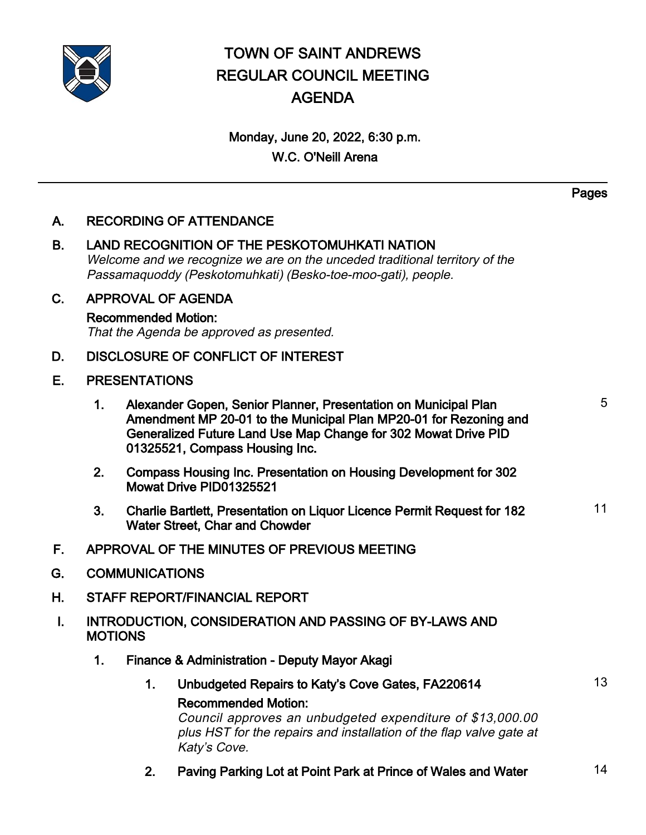

# TOWN OF SAINT ANDREWS REGULAR COUNCIL MEETING AGENDA

## Monday, June 20, 2022, 6:30 p.m. W.C. O'Neill Arena

A. RECORDING OF ATTENDANCE

- B. LAND RECOGNITION OF THE PESKOTOMUHKATI NATION Welcome and we recognize we are on the unceded traditional territory of the Passamaquoddy (Peskotomuhkati) (Besko-toe-moo-gati), people.
- C. APPROVAL OF AGENDA

## Recommended Motion:

That the Agenda be approved as presented.

- D. DISCLOSURE OF CONFLICT OF INTEREST
- E. PRESENTATIONS
	- 1. Alexander Gopen, Senior Planner, Presentation on Municipal Plan Amendment MP 20-01 to the Municipal Plan MP20-01 for Rezoning and Generalized Future Land Use Map Change for 302 Mowat Drive PID 01325521, Compass Housing Inc.
	- 2. Compass Housing Inc. Presentation on Housing Development for 302 Mowat Drive PID01325521
	- 3. Charlie Bartlett, Presentation on Liquor Licence Permit Request for 182 Water Street, Char and Chowder 11
- F. APPROVAL OF THE MINUTES OF PREVIOUS MEETING
- G. COMMUNICATIONS
- H. STAFF REPORT/FINANCIAL REPORT
- I. INTRODUCTION, CONSIDERATION AND PASSING OF BY-LAWS AND **MOTIONS** 
	- 1. Finance & Administration Deputy Mayor Akagi
		- 1. Unbudgeted Repairs to Katy's Cove Gates, FA220614 13 Recommended Motion:

Council approves an unbudgeted expenditure of \$13,000.00 plus HST for the repairs and installation of the flap valve gate at Katy's Cove.

2. Paving Parking Lot at Point Park at Prince of Wales and Water 14

Pages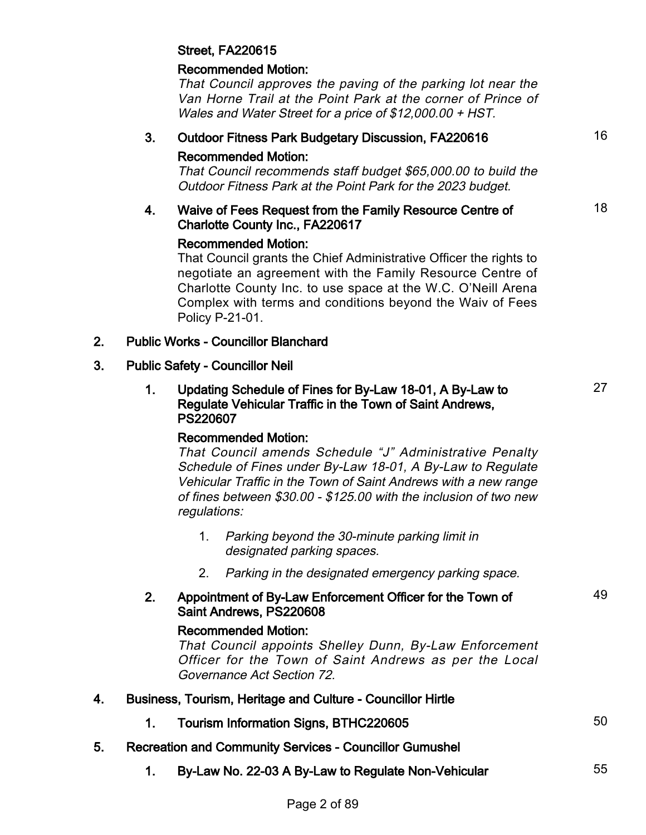## Street, FA220615

## Recommended Motion:

That Council approves the paving of the parking lot near the Van Horne Trail at the Point Park at the corner of Prince of Wales and Water Street for a price of \$12,000.00 + HST.

## 3. Outdoor Fitness Park Budgetary Discussion, FA220616 16

## Recommended Motion:

That Council recommends staff budget \$65,000.00 to build the Outdoor Fitness Park at the Point Park for the 2023 budget.

### 4. Waive of Fees Request from the Family Resource Centre of Charlotte County Inc., FA220617

## Recommended Motion:

That Council grants the Chief Administrative Officer the rights to negotiate an agreement with the Family Resource Centre of Charlotte County Inc. to use space at the W.C. O'Neill Arena Complex with terms and conditions beyond the Waiv of Fees Policy P-21-01.

## 2. Public Works - Councillor Blanchard

## 3. Public Safety - Councillor Neil

## 1. Updating Schedule of Fines for By-Law 18-01, A By-Law to Regulate Vehicular Traffic in the Town of Saint Andrews, PS220607

## Recommended Motion:

That Council amends Schedule "J" Administrative Penalty Schedule of Fines under By-Law 18-01, A By-Law to Regulate Vehicular Traffic in the Town of Saint Andrews with a new range of fines between \$30.00 - \$125.00 with the inclusion of two new regulations:

- Parking beyond the 30-minute parking limit in 1. designated parking spaces.
- 2. Parking in the designated emergency parking space.

## 2. Appointment of By-Law Enforcement Officer for the Town of Saint Andrews, PS220608

## Recommended Motion:

That Council appoints Shelley Dunn, By-Law Enforcement Officer for the Town of Saint Andrews as per the Local Governance Act Section 72.

- 4. Business, Tourism, Heritage and Culture Councillor Hirtle
	- 1. Tourism Information Signs, BTHC220605
- 5. Recreation and Community Services Councillor Gumushel
	- 1. By-Law No. 22-03 A By-Law to Regulate Non-Vehicular 55

18

27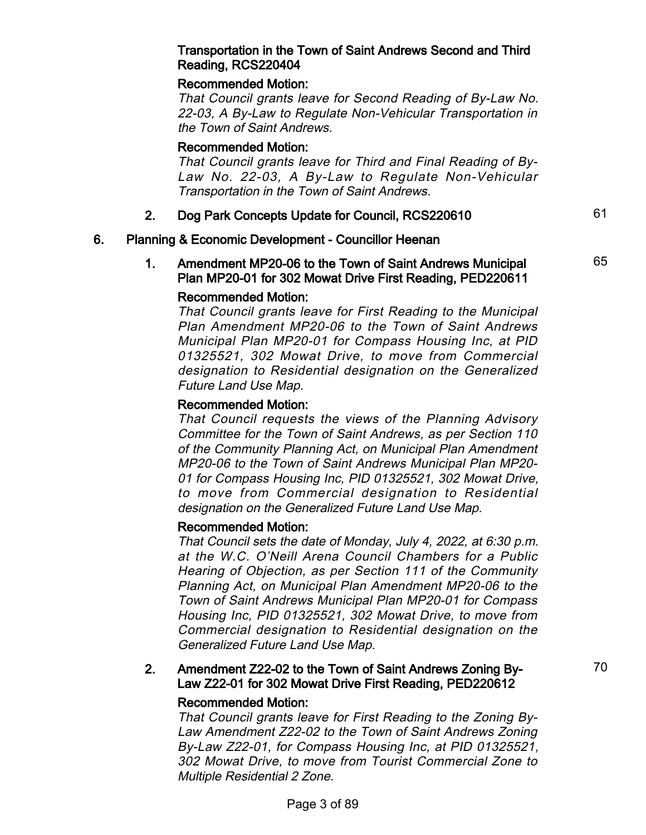#### Transportation in the Town of Saint Andrews Second and Third Reading, RCS220404

## Recommended Motion:

That Council grants leave for Second Reading of By-Law No. 22-03, A By-Law to Regulate Non-Vehicular Transportation in the Town of Saint Andrews.

#### Recommended Motion:

That Council grants leave for Third and Final Reading of By-Law No. 22-03, A By-Law to Regulate Non-Vehicular Transportation in the Town of Saint Andrews.

## 2. Dog Park Concepts Update for Council, RCS220610

#### 6. Planning & Economic Development - Councillor Heenan

#### 1. Amendment MP20-06 to the Town of Saint Andrews Municipal Plan MP20-01 for 302 Mowat Drive First Reading, PED220611

#### Recommended Motion:

That Council grants leave for First Reading to the Municipal Plan Amendment MP20-06 to the Town of Saint Andrews Municipal Plan MP20-01 for Compass Housing Inc, at PID 01325521, 302 Mowat Drive, to move from Commercial designation to Residential designation on the Generalized Future Land Use Map.

#### Recommended Motion:

That Council requests the views of the Planning Advisory Committee for the Town of Saint Andrews, as per Section 110 of the Community Planning Act, on Municipal Plan Amendment MP20-06 to the Town of Saint Andrews Municipal Plan MP20- 01 for Compass Housing Inc, PID 01325521, 302 Mowat Drive, to move from Commercial designation to Residential designation on the Generalized Future Land Use Map.

#### Recommended Motion:

That Council sets the date of Monday, July 4, 2022, at 6:30 p.m. at the W.C. O'Neill Arena Council Chambers for a Public Hearing of Objection, as per Section 111 of the Community Planning Act, on Municipal Plan Amendment MP20-06 to the Town of Saint Andrews Municipal Plan MP20-01 for Compass Housing Inc, PID 01325521, 302 Mowat Drive, to move from Commercial designation to Residential designation on the Generalized Future Land Use Map.

#### 2. Amendment Z22-02 to the Town of Saint Andrews Zoning By-Law Z22-01 for 302 Mowat Drive First Reading, PED220612

#### Recommended Motion:

That Council grants leave for First Reading to the Zoning By-Law Amendment Z22-02 to the Town of Saint Andrews Zoning By-Law Z22-01, for Compass Housing Inc, at PID 01325521, 302 Mowat Drive, to move from Tourist Commercial Zone to Multiple Residential 2 Zone.